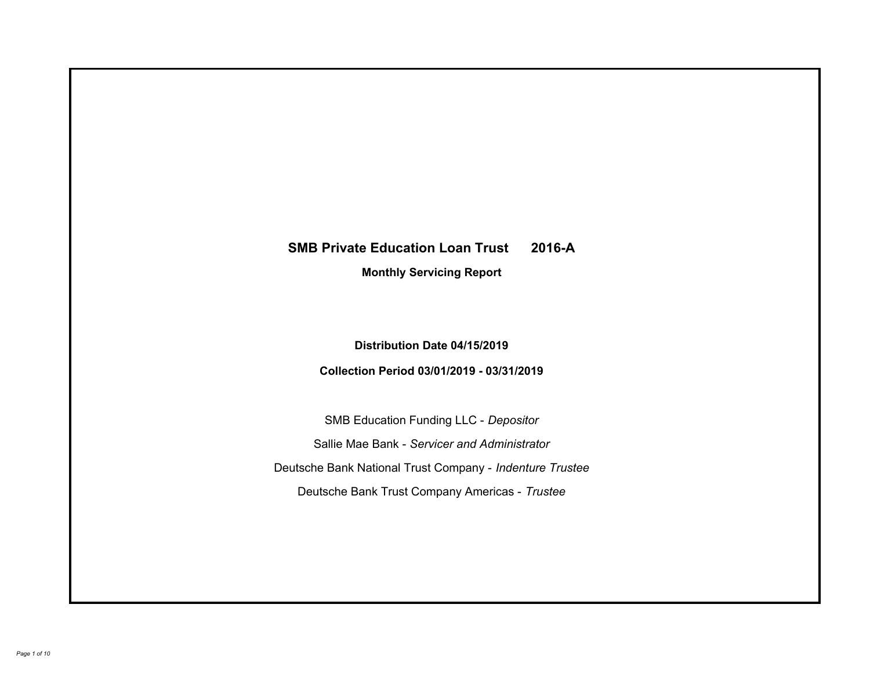# **SMB Private Education Loan Trust 2016-A Monthly Servicing Report**

# **Distribution Date 04/15/2019**

# **Collection Period 03/01/2019 - 03/31/2019**

SMB Education Funding LLC - *Depositor* Sallie Mae Bank - *Servicer and Administrator* Deutsche Bank National Trust Company - *Indenture Trustee* Deutsche Bank Trust Company Americas - *Trustee*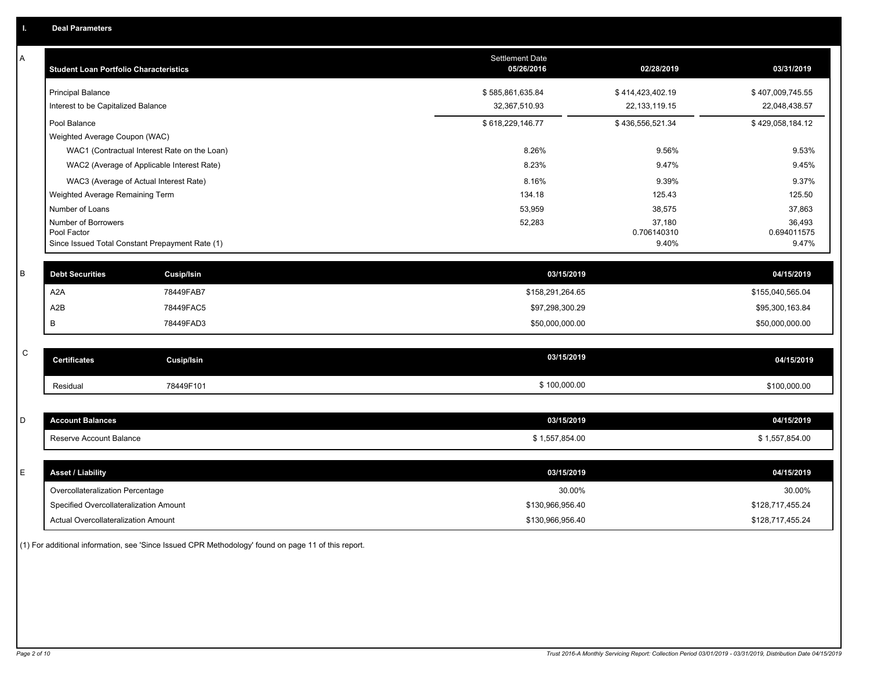| Α           | <b>Student Loan Portfolio Characteristics</b> |                                                 | <b>Settlement Date</b><br>05/26/2016 | 02/28/2019           | 03/31/2019           |
|-------------|-----------------------------------------------|-------------------------------------------------|--------------------------------------|----------------------|----------------------|
|             | Principal Balance                             |                                                 | \$585,861,635.84                     | \$414,423,402.19     | \$407,009,745.55     |
|             | Interest to be Capitalized Balance            |                                                 | 32,367,510.93                        | 22, 133, 119. 15     | 22,048,438.57        |
|             | Pool Balance                                  |                                                 | \$618,229,146.77                     | \$436,556,521.34     | \$429,058,184.12     |
|             | Weighted Average Coupon (WAC)                 |                                                 |                                      |                      |                      |
|             |                                               | WAC1 (Contractual Interest Rate on the Loan)    | 8.26%                                | 9.56%                | 9.53%                |
|             |                                               | WAC2 (Average of Applicable Interest Rate)      | 8.23%                                | 9.47%                | 9.45%                |
|             |                                               | WAC3 (Average of Actual Interest Rate)          | 8.16%                                | 9.39%                | 9.37%                |
|             | Weighted Average Remaining Term               |                                                 | 134.18                               | 125.43               | 125.50               |
|             | Number of Loans                               |                                                 | 53,959                               | 38,575               | 37,863               |
|             | Number of Borrowers                           |                                                 | 52,283                               | 37,180               | 36,493               |
|             | Pool Factor                                   | Since Issued Total Constant Prepayment Rate (1) |                                      | 0.706140310<br>9.40% | 0.694011575<br>9.47% |
|             |                                               |                                                 |                                      |                      |                      |
| B           | <b>Debt Securities</b>                        | <b>Cusip/Isin</b>                               | 03/15/2019                           |                      | 04/15/2019           |
|             | A <sub>2</sub> A                              | 78449FAB7                                       | \$158,291,264.65                     |                      | \$155,040,565.04     |
|             | A <sub>2</sub> B                              | 78449FAC5                                       | \$97,298,300.29                      |                      | \$95,300,163.84      |
|             | B                                             | 78449FAD3                                       | \$50,000,000.00                      |                      | \$50,000,000.00      |
|             |                                               |                                                 |                                      |                      |                      |
| $\mathsf C$ | <b>Certificates</b>                           | <b>Cusip/Isin</b>                               | 03/15/2019                           |                      | 04/15/2019           |
|             | Residual                                      | 78449F101                                       | \$100,000.00                         |                      | \$100,000.00         |
|             |                                               |                                                 |                                      |                      |                      |
| D           | <b>Account Balances</b>                       |                                                 | 03/15/2019                           |                      | 04/15/2019           |
|             | Reserve Account Balance                       |                                                 | \$1,557,854.00                       |                      | \$1,557,854.00       |
|             |                                               |                                                 |                                      |                      |                      |
| Е           | <b>Asset / Liability</b>                      |                                                 | 03/15/2019                           |                      | 04/15/2019           |
|             | Overcollateralization Percentage              |                                                 | 30.00%                               |                      | 30.00%               |
|             | Specified Overcollateralization Amount        |                                                 | \$130,966,956.40                     |                      | \$128,717,455.24     |
|             | Actual Overcollateralization Amount           |                                                 | \$130,966,956.40                     |                      | \$128,717,455.24     |

(1) For additional information, see 'Since Issued CPR Methodology' found on page 11 of this report.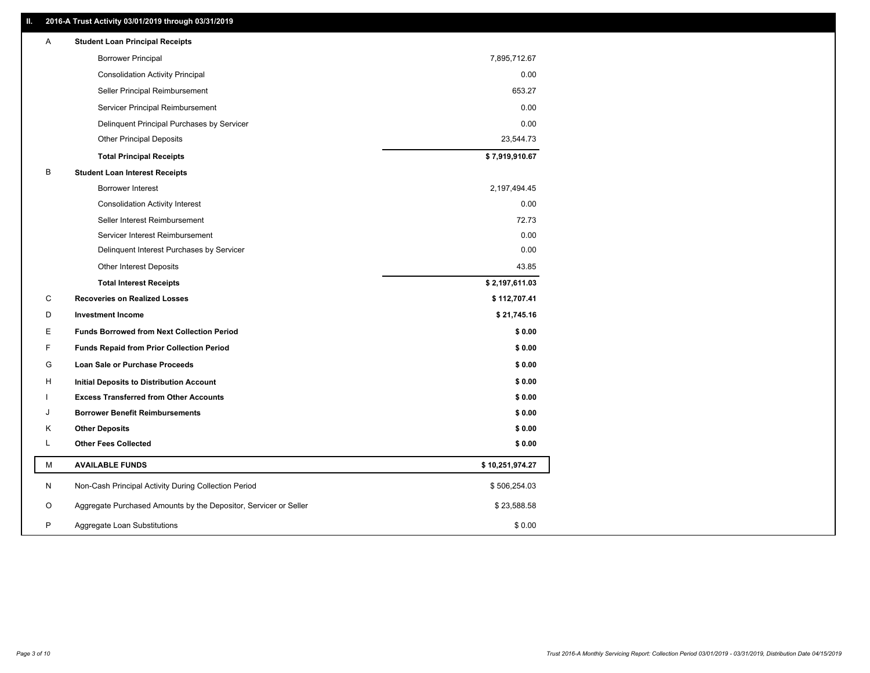# **II. 2016-A Trust Activity 03/01/2019 through 03/31/2019**

| Α | <b>Student Loan Principal Receipts</b>                           |                 |  |
|---|------------------------------------------------------------------|-----------------|--|
|   | <b>Borrower Principal</b>                                        | 7,895,712.67    |  |
|   | <b>Consolidation Activity Principal</b>                          | 0.00            |  |
|   | Seller Principal Reimbursement                                   | 653.27          |  |
|   | Servicer Principal Reimbursement                                 | 0.00            |  |
|   | Delinquent Principal Purchases by Servicer                       | 0.00            |  |
|   | <b>Other Principal Deposits</b>                                  | 23,544.73       |  |
|   | <b>Total Principal Receipts</b>                                  | \$7,919,910.67  |  |
| B | <b>Student Loan Interest Receipts</b>                            |                 |  |
|   | <b>Borrower Interest</b>                                         | 2,197,494.45    |  |
|   | <b>Consolidation Activity Interest</b>                           | 0.00            |  |
|   | Seller Interest Reimbursement                                    | 72.73           |  |
|   | Servicer Interest Reimbursement                                  | 0.00            |  |
|   | Delinquent Interest Purchases by Servicer                        | 0.00            |  |
|   | Other Interest Deposits                                          | 43.85           |  |
|   | <b>Total Interest Receipts</b>                                   | \$2,197,611.03  |  |
| C | <b>Recoveries on Realized Losses</b>                             | \$112,707.41    |  |
| D | <b>Investment Income</b>                                         | \$21,745.16     |  |
| Е | <b>Funds Borrowed from Next Collection Period</b>                | \$0.00          |  |
| F | <b>Funds Repaid from Prior Collection Period</b>                 | \$0.00          |  |
| G | Loan Sale or Purchase Proceeds                                   | \$0.00          |  |
| н | Initial Deposits to Distribution Account                         | \$0.00          |  |
|   | <b>Excess Transferred from Other Accounts</b>                    | \$0.00          |  |
| J | <b>Borrower Benefit Reimbursements</b>                           | \$0.00          |  |
| Κ | <b>Other Deposits</b>                                            | \$0.00          |  |
| Г | <b>Other Fees Collected</b>                                      | \$0.00          |  |
| М | <b>AVAILABLE FUNDS</b>                                           | \$10,251,974.27 |  |
| N | Non-Cash Principal Activity During Collection Period             | \$506,254.03    |  |
| O | Aggregate Purchased Amounts by the Depositor, Servicer or Seller | \$23,588.58     |  |
| P | Aggregate Loan Substitutions                                     | \$0.00          |  |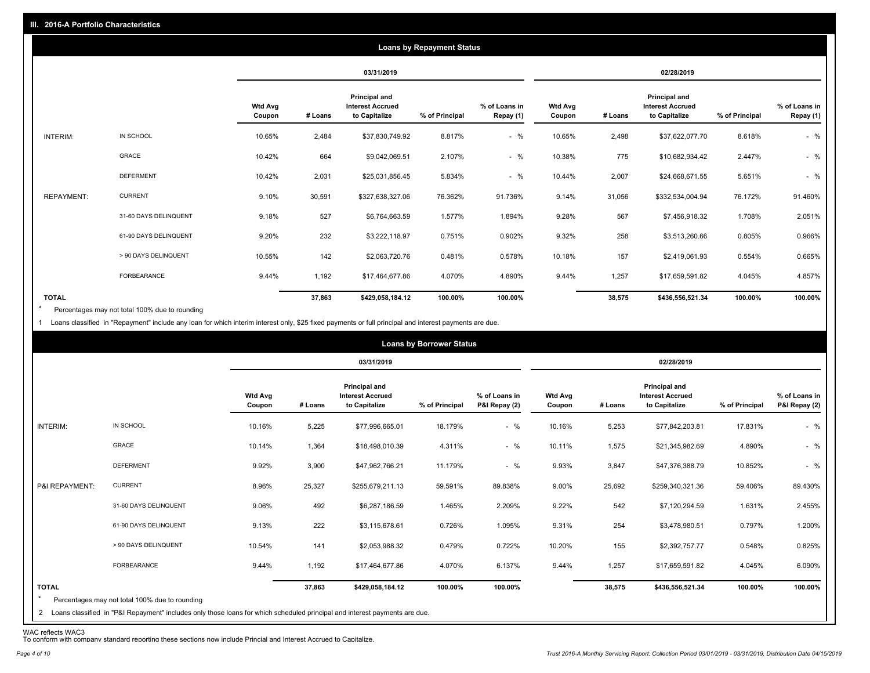|                   |                       |                          |            |                                                                  | <b>Loans by Repayment Status</b> |                            |                          |         |                                                                  |                |                            |
|-------------------|-----------------------|--------------------------|------------|------------------------------------------------------------------|----------------------------------|----------------------------|--------------------------|---------|------------------------------------------------------------------|----------------|----------------------------|
|                   |                       |                          | 03/31/2019 |                                                                  |                                  |                            | 02/28/2019               |         |                                                                  |                |                            |
|                   |                       | <b>Wtd Avg</b><br>Coupon | # Loans    | <b>Principal and</b><br><b>Interest Accrued</b><br>to Capitalize | % of Principal                   | % of Loans in<br>Repay (1) | <b>Wtd Avg</b><br>Coupon | # Loans | <b>Principal and</b><br><b>Interest Accrued</b><br>to Capitalize | % of Principal | % of Loans in<br>Repay (1) |
| INTERIM:          | IN SCHOOL             | 10.65%                   | 2,484      | \$37,830,749.92                                                  | 8.817%                           | $-$ %                      | 10.65%                   | 2,498   | \$37,622,077.70                                                  | 8.618%         | $-$ %                      |
|                   | GRACE                 | 10.42%                   | 664        | \$9,042,069.51                                                   | 2.107%                           | $-$ %                      | 10.38%                   | 775     | \$10,682,934.42                                                  | 2.447%         | $-$ %                      |
|                   | <b>DEFERMENT</b>      | 10.42%                   | 2,031      | \$25,031,856.45                                                  | 5.834%                           | $-$ %                      | 10.44%                   | 2,007   | \$24,668,671.55                                                  | 5.651%         | $-$ %                      |
| <b>REPAYMENT:</b> | <b>CURRENT</b>        | 9.10%                    | 30,591     | \$327,638,327.06                                                 | 76.362%                          | 91.736%                    | 9.14%                    | 31,056  | \$332,534,004.94                                                 | 76.172%        | 91.460%                    |
|                   | 31-60 DAYS DELINQUENT | 9.18%                    | 527        | \$6,764,663.59                                                   | 1.577%                           | 1.894%                     | 9.28%                    | 567     | \$7,456,918.32                                                   | 1.708%         | 2.051%                     |
|                   | 61-90 DAYS DELINQUENT | 9.20%                    | 232        | \$3,222,118.97                                                   | 0.751%                           | 0.902%                     | 9.32%                    | 258     | \$3,513,260.66                                                   | 0.805%         | 0.966%                     |
|                   | > 90 DAYS DELINQUENT  | 10.55%                   | 142        | \$2,063,720.76                                                   | 0.481%                           | 0.578%                     | 10.18%                   | 157     | \$2,419,061.93                                                   | 0.554%         | 0.665%                     |
|                   | <b>FORBEARANCE</b>    | 9.44%                    | 1,192      | \$17,464,677.86                                                  | 4.070%                           | 4.890%                     | 9.44%                    | 1,257   | \$17,659,591.82                                                  | 4.045%         | 4.857%                     |
| <b>TOTAL</b>      |                       |                          | 37,863     | \$429,058,184.12                                                 | 100.00%                          | 100.00%                    |                          | 38,575  | \$436,556,521.34                                                 | 100.00%        | 100.00%                    |

Percentages may not total 100% due to rounding \*

1 Loans classified in "Repayment" include any loan for which interim interest only, \$25 fixed payments or full principal and interest payments are due.

|                         |                                                                                                                                                                                |                          |         |                                                           | <b>Loans by Borrower Status</b> |                                |                          |            |                                                           |                |                                |
|-------------------------|--------------------------------------------------------------------------------------------------------------------------------------------------------------------------------|--------------------------|---------|-----------------------------------------------------------|---------------------------------|--------------------------------|--------------------------|------------|-----------------------------------------------------------|----------------|--------------------------------|
|                         |                                                                                                                                                                                |                          |         | 03/31/2019                                                |                                 |                                |                          | 02/28/2019 |                                                           |                |                                |
|                         |                                                                                                                                                                                | <b>Wtd Avg</b><br>Coupon | # Loans | Principal and<br><b>Interest Accrued</b><br>to Capitalize | % of Principal                  | % of Loans in<br>P&I Repay (2) | <b>Wtd Avg</b><br>Coupon | # Loans    | Principal and<br><b>Interest Accrued</b><br>to Capitalize | % of Principal | % of Loans in<br>P&I Repay (2) |
| INTERIM:                | IN SCHOOL                                                                                                                                                                      | 10.16%                   | 5,225   | \$77,996,665.01                                           | 18.179%                         | $-$ %                          | 10.16%                   | 5,253      | \$77,842,203.81                                           | 17.831%        | $-$ %                          |
|                         | GRACE                                                                                                                                                                          | 10.14%                   | 1,364   | \$18,498,010.39                                           | 4.311%                          | $-$ %                          | 10.11%                   | 1,575      | \$21,345,982.69                                           | 4.890%         | $-$ %                          |
|                         | <b>DEFERMENT</b>                                                                                                                                                               | 9.92%                    | 3,900   | \$47,962,766.21                                           | 11.179%                         | $-$ %                          | 9.93%                    | 3,847      | \$47,376,388.79                                           | 10.852%        | $-$ %                          |
| P&I REPAYMENT:          | <b>CURRENT</b>                                                                                                                                                                 | 8.96%                    | 25,327  | \$255,679,211.13                                          | 59.591%                         | 89.838%                        | 9.00%                    | 25,692     | \$259,340,321.36                                          | 59.406%        | 89.430%                        |
|                         | 31-60 DAYS DELINQUENT                                                                                                                                                          | 9.06%                    | 492     | \$6,287,186.59                                            | 1.465%                          | 2.209%                         | 9.22%                    | 542        | \$7,120,294.59                                            | 1.631%         | 2.455%                         |
|                         | 61-90 DAYS DELINQUENT                                                                                                                                                          | 9.13%                    | 222     | \$3,115,678.61                                            | 0.726%                          | 1.095%                         | 9.31%                    | 254        | \$3,478,980.51                                            | 0.797%         | 1.200%                         |
|                         | > 90 DAYS DELINQUENT                                                                                                                                                           | 10.54%                   | 141     | \$2,053,988.32                                            | 0.479%                          | 0.722%                         | 10.20%                   | 155        | \$2,392,757.77                                            | 0.548%         | 0.825%                         |
|                         | FORBEARANCE                                                                                                                                                                    | 9.44%                    | 1,192   | \$17,464,677.86                                           | 4.070%                          | 6.137%                         | 9.44%                    | 1,257      | \$17,659,591.82                                           | 4.045%         | 6.090%                         |
| <b>TOTAL</b><br>$\star$ | Percentages may not total 100% due to rounding<br>2 Loans classified in "P&I Repayment" includes only those loans for which scheduled principal and interest payments are due. |                          | 37,863  | \$429,058,184.12                                          | 100.00%                         | 100.00%                        |                          | 38,575     | \$436,556,521.34                                          | 100.00%        | 100.00%                        |

WAC reflects WAC3 To conform with company standard reporting these sections now include Princial and Interest Accrued to Capitalize.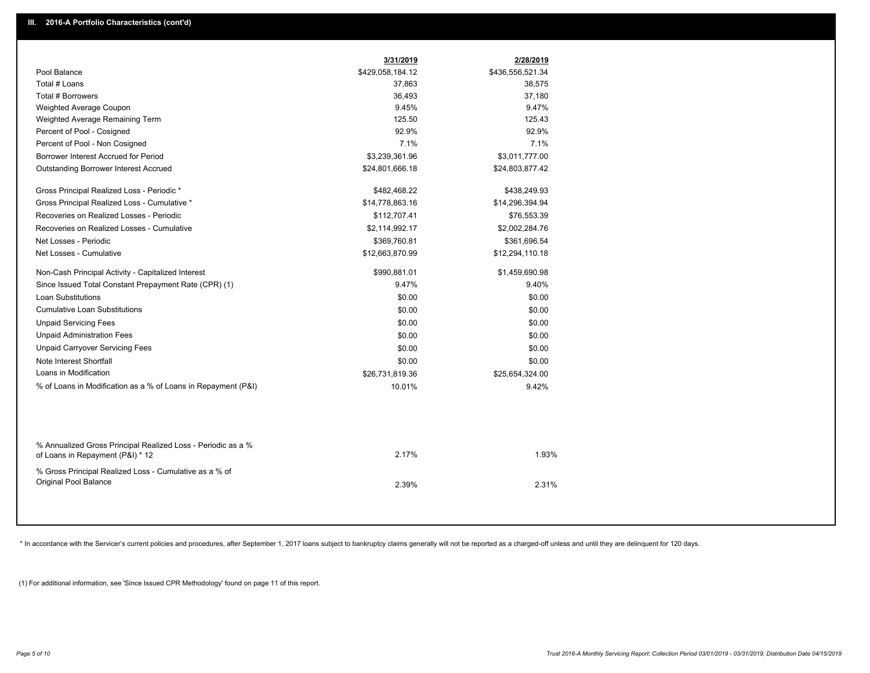|                                                                                                  | 3/31/2019        | 2/28/2019        |
|--------------------------------------------------------------------------------------------------|------------------|------------------|
| Pool Balance                                                                                     | \$429,058,184.12 | \$436,556,521.34 |
| Total # Loans                                                                                    | 37,863           | 38,575           |
| Total # Borrowers                                                                                | 36,493           | 37,180           |
| Weighted Average Coupon                                                                          | 9.45%            | 9.47%            |
| Weighted Average Remaining Term                                                                  | 125.50           | 125.43           |
| Percent of Pool - Cosigned                                                                       | 92.9%            | 92.9%            |
| Percent of Pool - Non Cosigned                                                                   | 7.1%             | 7.1%             |
| Borrower Interest Accrued for Period                                                             | \$3,239,361.96   | \$3,011,777.00   |
| Outstanding Borrower Interest Accrued                                                            | \$24,801,666.18  | \$24,803,877.42  |
| Gross Principal Realized Loss - Periodic *                                                       | \$482,468.22     | \$438,249.93     |
| Gross Principal Realized Loss - Cumulative *                                                     | \$14,778,863.16  | \$14,296,394.94  |
| Recoveries on Realized Losses - Periodic                                                         | \$112,707.41     | \$76,553.39      |
| Recoveries on Realized Losses - Cumulative                                                       | \$2,114,992.17   | \$2,002,284.76   |
| Net Losses - Periodic                                                                            | \$369,760.81     | \$361,696.54     |
| Net Losses - Cumulative                                                                          | \$12,663,870.99  | \$12,294,110.18  |
| Non-Cash Principal Activity - Capitalized Interest                                               | \$990,881.01     | \$1,459,690.98   |
| Since Issued Total Constant Prepayment Rate (CPR) (1)                                            | 9.47%            | 9.40%            |
| <b>Loan Substitutions</b>                                                                        | \$0.00           | \$0.00           |
| <b>Cumulative Loan Substitutions</b>                                                             | \$0.00           | \$0.00           |
| <b>Unpaid Servicing Fees</b>                                                                     | \$0.00           | \$0.00           |
| <b>Unpaid Administration Fees</b>                                                                | \$0.00           | \$0.00           |
| <b>Unpaid Carryover Servicing Fees</b>                                                           | \$0.00           | \$0.00           |
| Note Interest Shortfall                                                                          | \$0.00           | \$0.00           |
| Loans in Modification                                                                            | \$26,731,819.36  | \$25,654,324.00  |
| % of Loans in Modification as a % of Loans in Repayment (P&I)                                    | 10.01%           | 9.42%            |
|                                                                                                  |                  |                  |
| % Annualized Gross Principal Realized Loss - Periodic as a %<br>of Loans in Repayment (P&I) * 12 | 2.17%            | 1.93%            |
| % Gross Principal Realized Loss - Cumulative as a % of<br>Original Pool Balance                  | 2.39%            | 2.31%            |

\* In accordance with the Servicer's current policies and procedures, after September 1, 2017 loans subject to bankruptcy claims generally will not be reported as a charged-off unless and until they are delinquent for 120 d

(1) For additional information, see 'Since Issued CPR Methodology' found on page 11 of this report.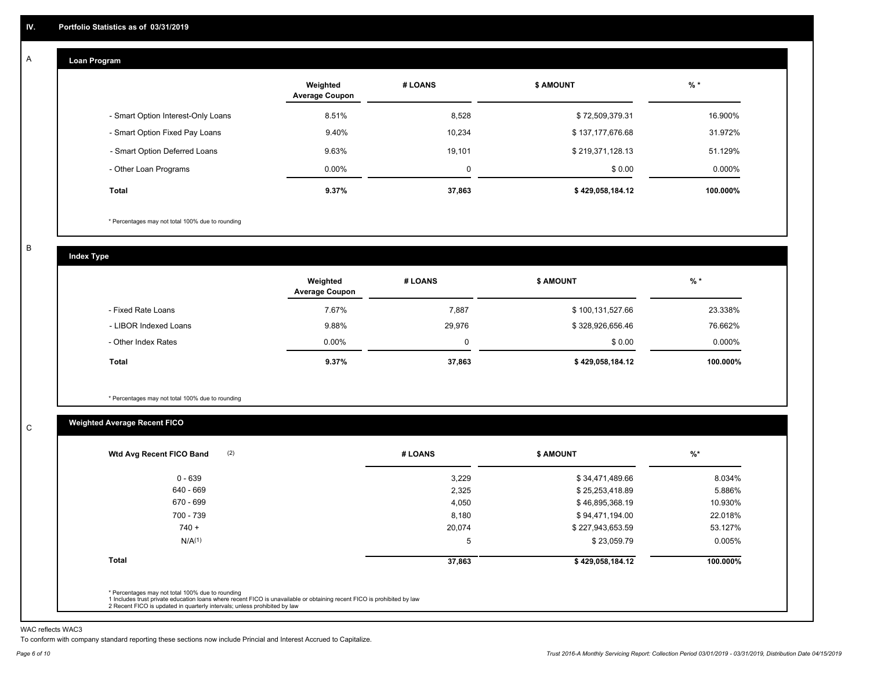#### **Loan Program**  A

|                                    | Weighted<br><b>Average Coupon</b> | # LOANS | <b>\$ AMOUNT</b> | $%$ *     |
|------------------------------------|-----------------------------------|---------|------------------|-----------|
| - Smart Option Interest-Only Loans | 8.51%                             | 8,528   | \$72,509,379.31  | 16.900%   |
| - Smart Option Fixed Pay Loans     | 9.40%                             | 10,234  | \$137,177,676.68 | 31.972%   |
| - Smart Option Deferred Loans      | 9.63%                             | 19.101  | \$219,371,128.13 | 51.129%   |
| - Other Loan Programs              | $0.00\%$                          | 0       | \$0.00           | $0.000\%$ |
| <b>Total</b>                       | 9.37%                             | 37,863  | \$429,058,184.12 | 100.000%  |

\* Percentages may not total 100% due to rounding

B

C

**Index Type**

|                       | Weighted<br><b>Average Coupon</b> | # LOANS | <b>\$ AMOUNT</b> | $%$ *     |
|-----------------------|-----------------------------------|---------|------------------|-----------|
| - Fixed Rate Loans    | 7.67%                             | 7,887   | \$100,131,527.66 | 23.338%   |
| - LIBOR Indexed Loans | 9.88%                             | 29,976  | \$328,926,656.46 | 76.662%   |
| - Other Index Rates   | $0.00\%$                          | 0       | \$0.00           | $0.000\%$ |
| Total                 | 9.37%                             | 37,863  | \$429,058,184.12 | 100.000%  |

\* Percentages may not total 100% due to rounding

# **Weighted Average Recent FICO**

| (2)<br>Wtd Avg Recent FICO Band                                                                                                                                                                                                                          | # LOANS | <b>\$ AMOUNT</b> | $%$ *    |
|----------------------------------------------------------------------------------------------------------------------------------------------------------------------------------------------------------------------------------------------------------|---------|------------------|----------|
| $0 - 639$                                                                                                                                                                                                                                                | 3,229   | \$34,471,489.66  | 8.034%   |
| 640 - 669                                                                                                                                                                                                                                                | 2,325   | \$25,253,418.89  | 5.886%   |
| 670 - 699                                                                                                                                                                                                                                                | 4,050   | \$46,895,368.19  | 10.930%  |
| 700 - 739                                                                                                                                                                                                                                                | 8,180   | \$94,471,194.00  | 22.018%  |
| $740 +$                                                                                                                                                                                                                                                  | 20,074  | \$227,943,653.59 | 53.127%  |
| N/A <sup>(1)</sup>                                                                                                                                                                                                                                       | 5       | \$23,059.79      | 0.005%   |
| <b>Total</b>                                                                                                                                                                                                                                             | 37,863  | \$429,058,184.12 | 100.000% |
| * Percentages may not total 100% due to rounding<br>1 Includes trust private education loans where recent FICO is unavailable or obtaining recent FICO is prohibited by law<br>2 Recent FICO is updated in quarterly intervals; unless prohibited by law |         |                  |          |

WAC reflects WAC3

To conform with company standard reporting these sections now include Princial and Interest Accrued to Capitalize.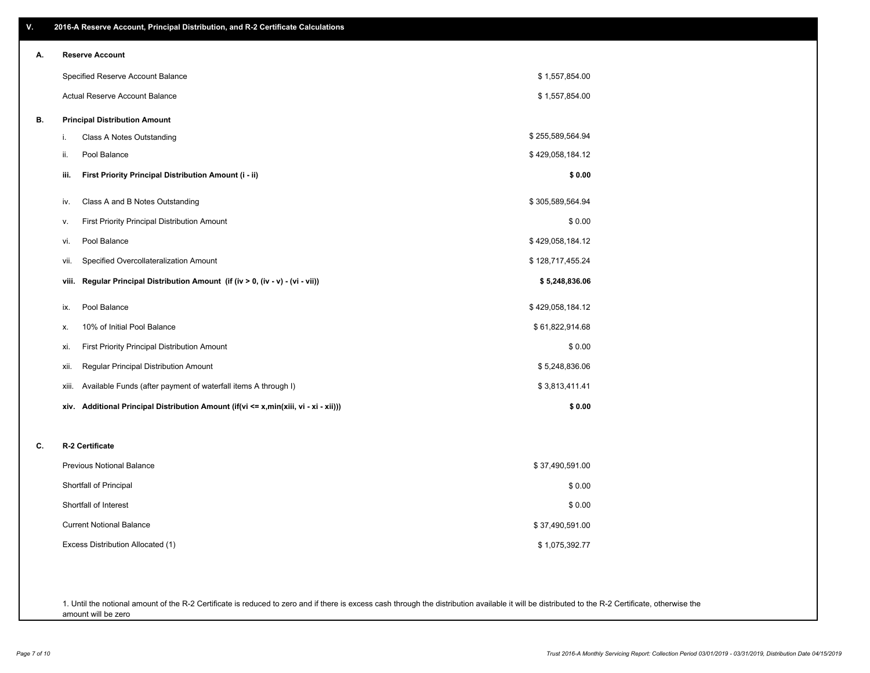| ۷. | 2016-A Reserve Account, Principal Distribution, and R-2 Certificate Calculations     |                  |
|----|--------------------------------------------------------------------------------------|------------------|
| А. | <b>Reserve Account</b>                                                               |                  |
|    | Specified Reserve Account Balance                                                    | \$1,557,854.00   |
|    | Actual Reserve Account Balance                                                       | \$1,557,854.00   |
| В. | <b>Principal Distribution Amount</b>                                                 |                  |
|    | Class A Notes Outstanding<br>i.                                                      | \$255,589,564.94 |
|    | Pool Balance<br>ii.                                                                  | \$429,058,184.12 |
|    | First Priority Principal Distribution Amount (i - ii)<br>iii.                        | \$0.00           |
|    | Class A and B Notes Outstanding<br>iv.                                               | \$305,589,564.94 |
|    | First Priority Principal Distribution Amount<br>v.                                   | \$0.00           |
|    | Pool Balance<br>vi.                                                                  | \$429,058,184.12 |
|    | Specified Overcollateralization Amount<br>vii.                                       | \$128,717,455.24 |
|    | Regular Principal Distribution Amount (if (iv > 0, (iv - v) - (vi - vii))<br>viii.   | \$5,248,836.06   |
|    | Pool Balance<br>ix.                                                                  | \$429,058,184.12 |
|    | 10% of Initial Pool Balance<br>х.                                                    | \$61,822,914.68  |
|    | First Priority Principal Distribution Amount<br>xi.                                  | \$0.00           |
|    | Regular Principal Distribution Amount<br>xii.                                        | \$5,248,836.06   |
|    | Available Funds (after payment of waterfall items A through I)<br>xiii.              | \$3,813,411.41   |
|    | xiv. Additional Principal Distribution Amount (if(vi <= x,min(xiii, vi - xi - xii))) | \$0.00           |
| C. | R-2 Certificate                                                                      |                  |
|    | <b>Previous Notional Balance</b>                                                     | \$37,490,591.00  |
|    | Shortfall of Principal                                                               | \$0.00           |
|    | Shortfall of Interest                                                                | \$0.00           |
|    | <b>Current Notional Balance</b>                                                      | \$37,490,591.00  |
|    | Excess Distribution Allocated (1)                                                    | \$1,075,392.77   |
|    |                                                                                      |                  |
|    |                                                                                      |                  |

1. Until the notional amount of the R-2 Certificate is reduced to zero and if there is excess cash through the distribution available it will be distributed to the R-2 Certificate, otherwise the amount will be zero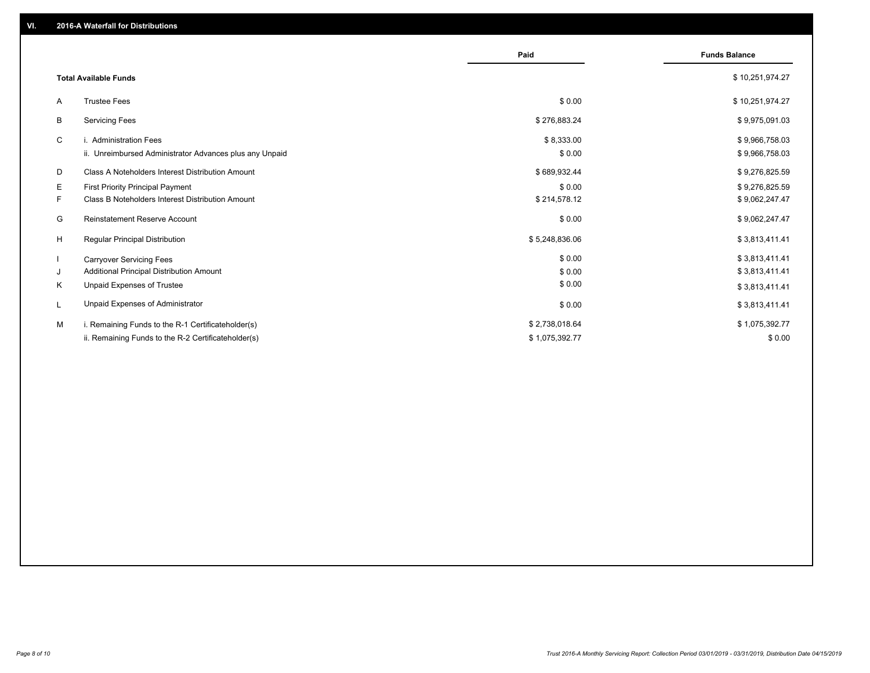|                                                         | Paid           | <b>Funds Balance</b> |
|---------------------------------------------------------|----------------|----------------------|
| <b>Total Available Funds</b>                            |                | \$10,251,974.27      |
| <b>Trustee Fees</b><br>A                                | \$0.00         | \$10,251,974.27      |
| В<br><b>Servicing Fees</b>                              | \$276,883.24   | \$9,975,091.03       |
| C<br>i. Administration Fees                             | \$8,333.00     | \$9,966,758.03       |
| ii. Unreimbursed Administrator Advances plus any Unpaid | \$0.00         | \$9,966,758.03       |
| D<br>Class A Noteholders Interest Distribution Amount   | \$689,932.44   | \$9,276,825.59       |
| E.<br><b>First Priority Principal Payment</b>           | \$0.00         | \$9,276,825.59       |
| F.<br>Class B Noteholders Interest Distribution Amount  | \$214,578.12   | \$9,062,247.47       |
| <b>Reinstatement Reserve Account</b><br>G               | \$0.00         | \$9,062,247.47       |
| H<br><b>Regular Principal Distribution</b>              | \$5,248,836.06 | \$3,813,411.41       |
| -1<br><b>Carryover Servicing Fees</b>                   | \$0.00         | \$3,813,411.41       |
| Additional Principal Distribution Amount<br>J           | \$0.00         | \$3,813,411.41       |
| Unpaid Expenses of Trustee<br>Κ                         | \$0.00         | \$3,813,411.41       |
| Unpaid Expenses of Administrator<br>L                   | \$0.00         | \$3,813,411.41       |
| M<br>i. Remaining Funds to the R-1 Certificateholder(s) | \$2,738,018.64 | \$1,075,392.77       |
| ii. Remaining Funds to the R-2 Certificateholder(s)     | \$1,075,392.77 | \$0.00               |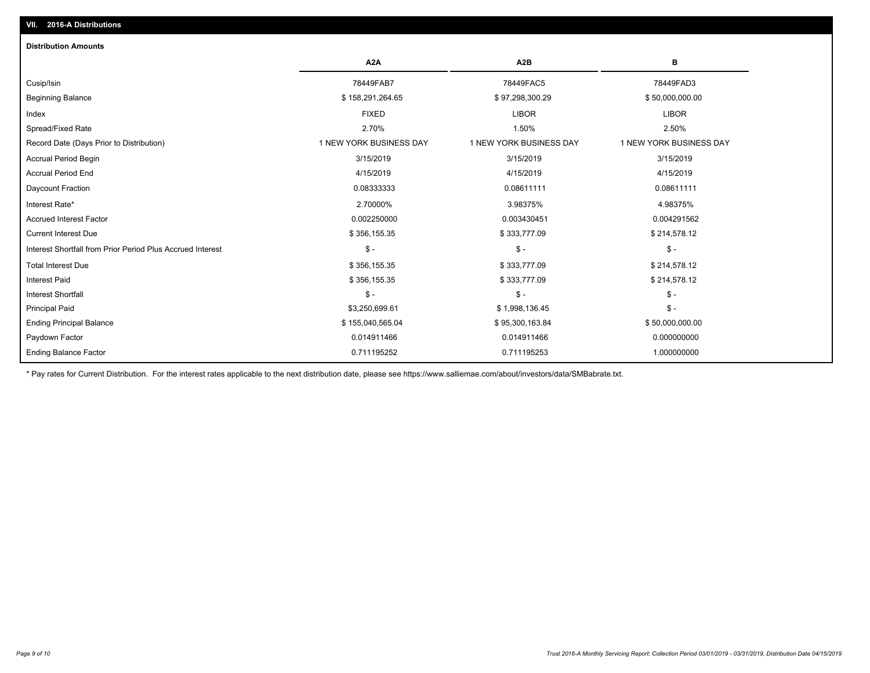| <b>Distribution Amounts</b>                                |                         |                         |                         |
|------------------------------------------------------------|-------------------------|-------------------------|-------------------------|
|                                                            | A <sub>2</sub> A        | A <sub>2</sub> B        | в                       |
| Cusip/Isin                                                 | 78449FAB7               | 78449FAC5               | 78449FAD3               |
| <b>Beginning Balance</b>                                   | \$158,291,264.65        | \$97,298,300.29         | \$50,000,000.00         |
| Index                                                      | <b>FIXED</b>            | <b>LIBOR</b>            | <b>LIBOR</b>            |
| Spread/Fixed Rate                                          | 2.70%                   | 1.50%                   | 2.50%                   |
| Record Date (Days Prior to Distribution)                   | 1 NEW YORK BUSINESS DAY | 1 NEW YORK BUSINESS DAY | 1 NEW YORK BUSINESS DAY |
| <b>Accrual Period Begin</b>                                | 3/15/2019               | 3/15/2019               | 3/15/2019               |
| <b>Accrual Period End</b>                                  | 4/15/2019               | 4/15/2019               | 4/15/2019               |
| Daycount Fraction                                          | 0.08333333              | 0.08611111              | 0.08611111              |
| Interest Rate*                                             | 2.70000%                | 3.98375%                | 4.98375%                |
| <b>Accrued Interest Factor</b>                             | 0.002250000             | 0.003430451             | 0.004291562             |
| <b>Current Interest Due</b>                                | \$356,155.35            | \$333,777.09            | \$214,578.12            |
| Interest Shortfall from Prior Period Plus Accrued Interest | $\mathsf{\$}$ -         | $\mathsf{\$}$ -         | $$ -$                   |
| <b>Total Interest Due</b>                                  | \$356,155.35            | \$333,777.09            | \$214,578.12            |
| <b>Interest Paid</b>                                       | \$356,155.35            | \$333,777.09            | \$214,578.12            |
| <b>Interest Shortfall</b>                                  | $\mathsf{\$}$ -         | $\mathsf{\$}$ -         | $$ -$                   |
| <b>Principal Paid</b>                                      | \$3,250,699.61          | \$1,998,136.45          | $$ -$                   |
| <b>Ending Principal Balance</b>                            | \$155,040,565.04        | \$95,300,163.84         | \$50,000,000.00         |
| Paydown Factor                                             | 0.014911466             | 0.014911466             | 0.000000000             |
| <b>Ending Balance Factor</b>                               | 0.711195252             | 0.711195253             | 1.000000000             |

\* Pay rates for Current Distribution. For the interest rates applicable to the next distribution date, please see https://www.salliemae.com/about/investors/data/SMBabrate.txt.

**VII. 2016-A Distributions**